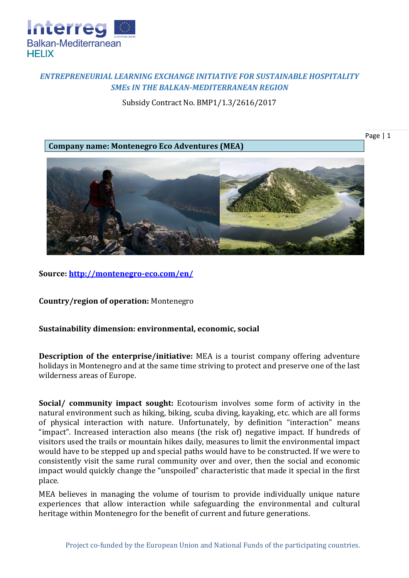

## *ENTREPRENEURIAL LEARNING EXCHANGE INITIATIVE FOR SUSTAINABLE HOSPITALITY SMEs IN THE BALKAN-MEDITERRANEAN REGION*

Subsidy Contract No. BMP1/1.3/2616/2017

**Company name: Montenegro Eco Adventures (MEA)**

Page | 1



**Source:<http://montenegro-eco.com/en/>**

**Country/region of operation:** Montenegro

## **Sustainability dimension: environmental, economic, social**

**Description of the enterprise/initiative:** MEA is a tourist company offering adventure holidays in Montenegro and at the same time striving to protect and preserve one of the last wilderness areas of Europe.

**Social/ community impact sought:** Ecotourism involves some form of activity in the natural environment such as hiking, biking, scuba diving, kayaking, etc. which are all forms of physical interaction with nature. Unfortunately, by definition "interaction" means "impact". Increased interaction also means (the risk of) negative impact. If hundreds of visitors used the trails or mountain hikes daily, measures to limit the environmental impact would have to be stepped up and special paths would have to be constructed. If we were to consistently visit the same rural community over and over, then the social and economic impact would quickly change the "unspoiled" characteristic that made it special in the first place.

MEA believes in managing the volume of tourism to provide individually unique nature experiences that allow interaction while safeguarding the environmental and cultural heritage within Montenegro for the benefit of current and future generations.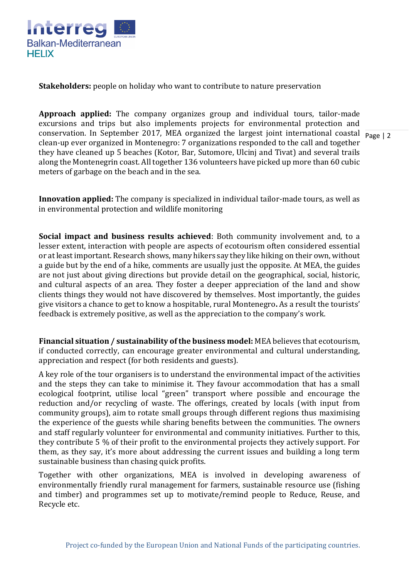

**Stakeholders:** people on holiday who want to contribute to nature preservation

conservation. In September 2017, MEA organized the largest joint international coastal  $\frac{1}{\text{Page } |2}$ **Approach applied:** The company organizes group and individual tours, tailor-made excursions and trips but also implements projects for environmental protection and clean-up ever organized in Montenegro: 7 organizations responded to the call and together they have cleaned up 5 beaches (Kotor, Bar, Sutomore, Ulcinj and Tivat) and several trails along the Montenegrin coast. All together 136 volunteers have picked up more than 60 cubic meters of garbage on the beach and in the sea.

**Innovation applied:** The company is specialized in individual tailor-made tours, as well as in environmental protection and wildlife monitoring

**Social impact and business results achieved**: Both community involvement and, to a lesser extent, interaction with people are aspects of ecotourism often considered essential or at least important. Research shows, many hikers say they like hiking on their own, without a guide but by the end of a hike, comments are usually just the opposite. At MEA, the guides are not just about giving directions but provide detail on the geographical, social, historic, and cultural aspects of an area. They foster a deeper appreciation of the land and show clients things they would not have discovered by themselves. Most importantly, the guides give visitors a chance to get to know a hospitable, rural Montenegro**.** As a result the tourists' feedback is extremely positive, as well as the appreciation to the company's work.

**Financial situation / sustainability of the business model:** MEA believes that ecotourism, if conducted correctly, can encourage greater environmental and cultural understanding, appreciation and respect (for both residents and guests).

A key role of the tour organisers is to understand the environmental impact of the activities and the steps they can take to minimise it. They favour accommodation that has a small ecological footprint, utilise local "green" transport where possible and encourage the reduction and/or recycling of waste. The offerings, created by locals (with input from community groups), aim to rotate small groups through different regions thus maximising the experience of the guests while sharing benefits between the communities. The owners and staff regularly volunteer for environmental and community initiatives. Further to this, they contribute 5 % of their profit to the environmental projects they actively support. For them, as they say, it's more about addressing the current issues and building a long term sustainable business than chasing quick profits.

Together with other organizations, MEA is involved in developing awareness of environmentally friendly rural management for farmers, sustainable resource use (fishing and timber) and programmes set up to motivate/remind people to Reduce, Reuse, and Recycle etc.